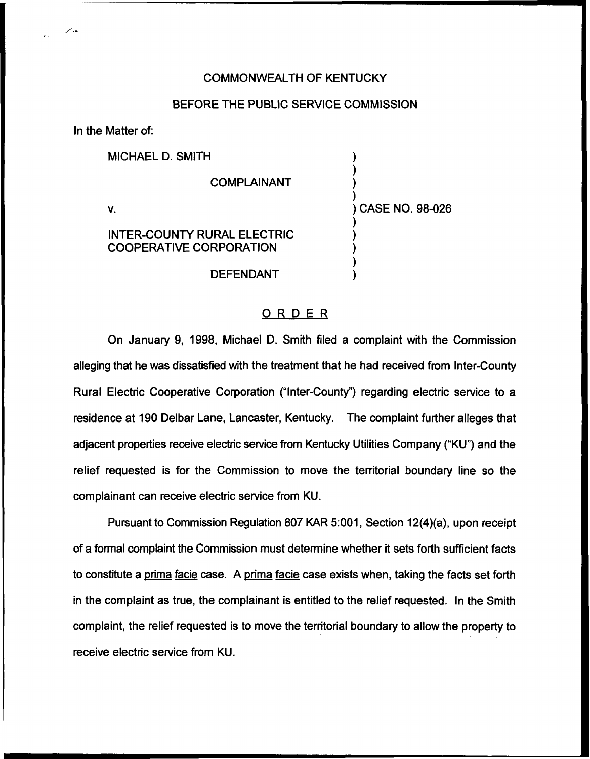### COMMONWEALTH OF KENTUCKY

## BEFORE THE PUBLIC SERVICE COMMISSION

In the Matter of:

MICHAEL D. SMITH

#### COMPLAINANT

V.

) CASE NO. 98-026

) ) ) )

) ) ) ) )

# INTER-COUNTY RURAL ELECTRIC COOPERATIVE CORPORATION

DEFENDANT

## ORDER

On January 9, 1998, Michael D. Smith filed a complaint with the Commission alleging that he was dissatisfied with the treatment that he had received from Inter-County Rural Electric Cooperative Corporation ("Inter-County") regarding electric service to a residence at 190 Delbar Lane, Lancaster, Kentucky. The complaint further alleges that adjacent properties receive electric service from Kentucky Utilities Company ("KU") and the relief requested is for the Commission to move the territorial boundary line so the complainant can receive electric service from KU.

Pursuant to Commission Regulation 807 KAR 5:001, Section 12(4)(a), upon receipt of a formal complaint the Commission must determine whether it sets forth sufficient facts to constitute a prima facie case. A prima facie case exists when, taking the facts set forth in the complaint as true, the complainant is entitled to the relief requested. In the Smith complaint, the relief requested is to move the territorial boundary to allow the property to receive electric service from KU.